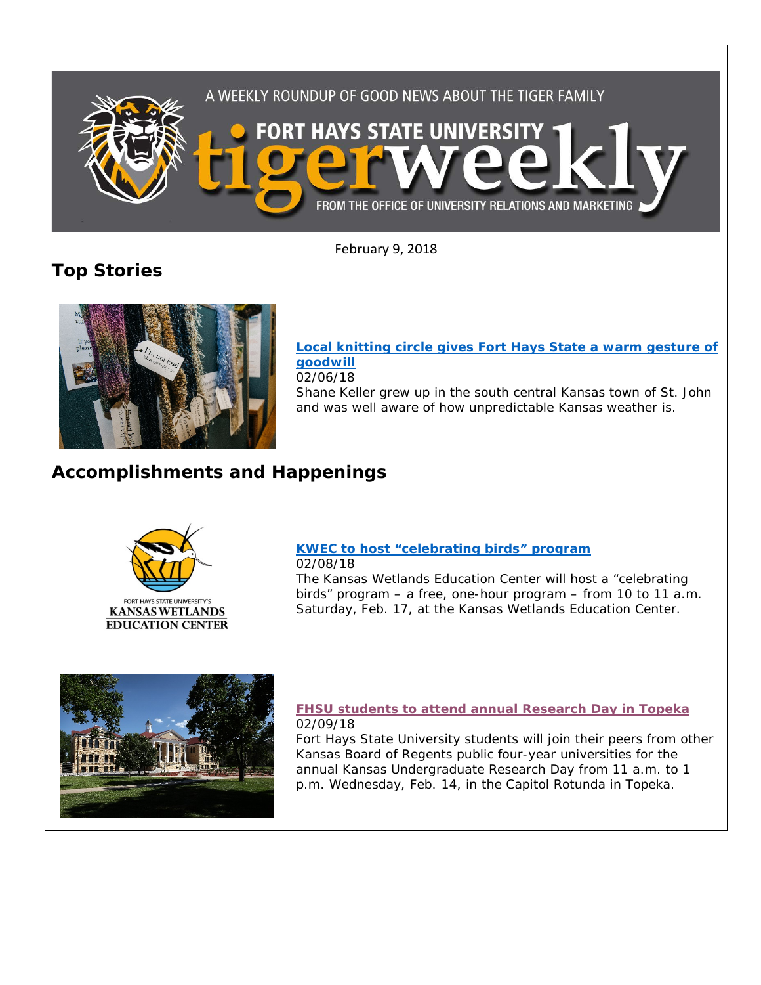

February 9, 2018

**Top Stories**



**[Local knitting circle gives Fort Hays State a warm gesture of](http://www.fhsu.edu/news/2018/02/local-knitting-circle-gives-fort-hays-state-a-warm-gesture-of-goodwill.html)  [goodwill](http://www.fhsu.edu/news/2018/02/local-knitting-circle-gives-fort-hays-state-a-warm-gesture-of-goodwill.html)** 02/06/18 Shane Keller grew up in the south central Kansas town of St. John and was well aware of how unpredictable Kansas weather is.

## **Accomplishments and Happenings**



## **[KWEC to host "celebrating birds" program](http://www.fhsu.edu/news/2018/02/kwec-to-host-celebrating-birds-program.html)** 02/08/18

The Kansas Wetlands Education Center will host a "celebrating birds" program – a free, one-hour program – from 10 to 11 a.m. Saturday, Feb. 17, at the Kansas Wetlands Education Center.



## **[FHSU students to attend annual Research Day in Topeka](http://www.fhsu.edu/news/2018/02/fhsu-students-to-attend-annual-research-day-in-topeka.html)** 02/09/18

Fort Hays State University students will join their peers from other Kansas Board of Regents public four-year universities for the annual Kansas Undergraduate Research Day from 11 a.m. to 1 p.m. Wednesday, Feb. 14, in the Capitol Rotunda in Topeka.